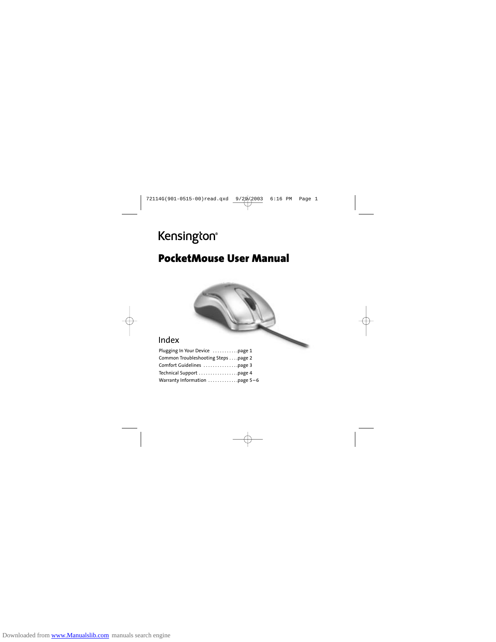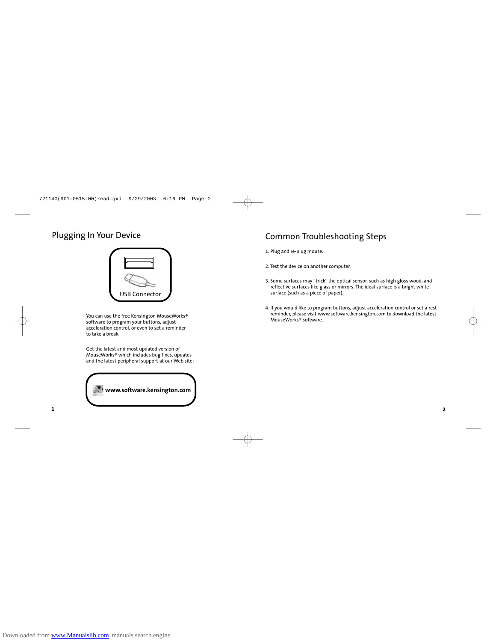

You can use the free Kensington MouseWorks® software to program your buttons, adjust acceleration control, or even to set a reminder to take a break.

Get the latest and most updated version of MouseWorks® which includes bug fixes, updates and the latest peripheral support at our Web site:



# Plugging In Your Device Common Troubleshooting Steps

1. Plug and re-plug mouse.

- 2. Test the device on another computer.
- 3. Some surfaces may "trick" the optical sensor, such as high gloss wood, and reflective surfaces like glass or mirrors. The ideal surface is a bright white surface (such as a piece of paper).
- 4. If you would like to program buttons, adjust acceleration control or set a rest reminder, please visit www.software.kensington.com to download the latest MouseWorks® software.

**2**

**1**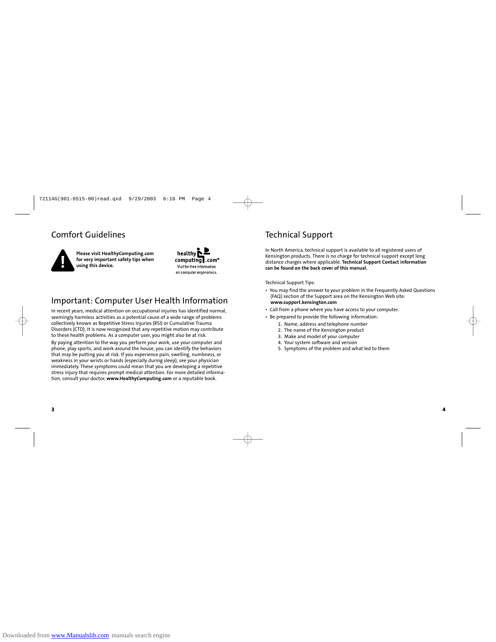## Comfort Guidelines **Technical Support**



**Please visit HealthyComputing.com for very important safety tips when using this device.**



## Important: Computer User Health Information

In recent years, medical attention on occupational injuries has identified normal, seemingly harmless activities as a potential cause of a wide range of problems collectively known as Repetitive Stress Injuries (RSI) or Cumulative Trauma Disorders (CTD). It is now recognized that any repetitive motion may contribute to these health problems. As a computer user, you might also be at risk. By paying attention to the way you perform your work, use your computer and phone, play sports, and work around the house, you can identify the behaviors that may be putting you at risk. If you experience pain, swelling, numbness, or weakness in your wrists or hands (especially during sleep), see your physician immediately. These symptoms could mean that you are developing a repetitive stress injury that requires prompt medical attention. For more detailed information, consult your doctor, **www.HealthyComputing.com** or a reputable book.

In North America, technical support is available to all registered users of Kensington products. There is no charge for technical support except long distance charges where applicable. **Technical Support Contact information can be found on the back cover of this manual.**

#### Technical Support Tips:

- You may find the answer to your problem in the Frequently Asked Questions (FAQ) section of the Support area on the Kensington Web site: **www.support.kensington.com**
- Call from a phone where you have access to your computer.
- Be prepared to provide the following information:
	- 1. Name, address and telephone number
	- 2. The name of the Kensington product
	- 3. Make and model of your computer
	- 4. Your system software and version
	- 5. Symptoms of the problem and what led to them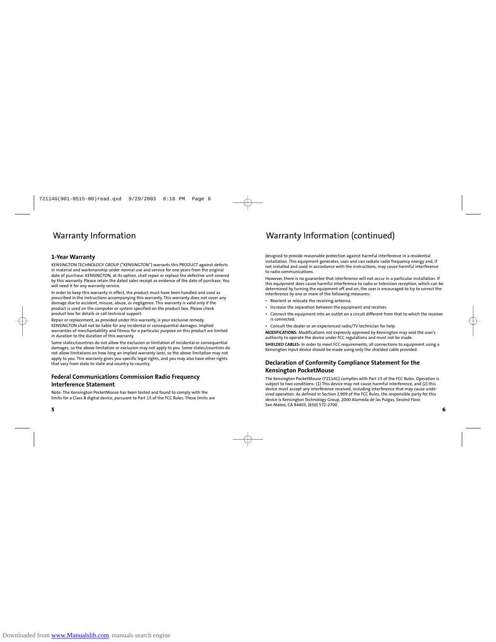#### **1-Year Warranty**

KENSINGTON TECHNOLOGY GROUP ("KENSINGTON") warrants this PRODUCT against defects in material and workmanship under normal use and service for one years from the original date of purchase. KENSINGTON, at its option, shall repair or replace the defective unit covered by this warranty. Please retain the dated sales receipt as evidence of the date of purchase. You will need it for any warranty service.

In order to keep this warranty in effect, the product must have been handled and used as<br>prescribed in the instructions accompanying this warranty. This warranty does not cover any<br>damage due to accident, misuse, abuse, or product box for details or call technical support.

Repair or replacement, as provided under this warranty, is your exclusive remedy. KENSINGTON shall not be liable for any incidental or consequential damages. Implied warranties of merchantability and fitness for a particular purpose on this product are limited in duration to the duration of this warranty.

Some states/countries do not allow the exclusion or limitation of incidental or consequential damages, so the above limitation or exclusion may not apply to you. Some states/countries do<br>not allow limitations on how long an implied warranty lasts, so the above limitation may not<br>apply to you. This warranty gives yo that vary from state to state and country to country.

### **Federal Communications Commission Radio Frequency Interference Statement**

Note: The Kensington PocketMouse has been tested and found to comply with the limits for a Class B digital device, pursuant to Part 15 of the FCC Rules. These limits are

**5**

## Warranty Information Warranty Information (continued)

designed to provide reasonable protection against harmful interference in a residential installation. This equipment generates, uses and can radiate radio frequency energy and, if not installed and used in accordance with the instructions, may cause harmful interference to radio communications.

However, there is no guarantee that interference will not occur in a particular installation. If this equipment does cause harmful interference to radio or television reception, which can be determined by turning the equipment off and on, the user is encouraged to try to correct the interference by one or more of the following measures:

- Reorient or relocate the receiving antenna.
- Increase the separation between the equipment and receiver.
- Connect the equipment into an outlet on a circuit different from that to which the receiver is connected.
- Consult the dealer or an experienced radio/TV technician for help.

**MODIFICATIONS:** Modifications not expressly approved by Kensington may void the user's authority to operate the device under FCC regulations and must not be made. **SHIELDED CABLES:** In order to meet FCC requirements, all connections to equipment using a

Kensington input device should be made using only the shielded cable provided.

### **Declaration of Conformity Compliance Statement for the Kensington PocketMouse**

The Kensington PocketMouse (72114G) complies with Part 15 of the FCC Rules. Operation is subject to two conditions: (1) This device may not cause harmful interference, and (2) this<br>device must accept any interference received, including interference that may cause unde-<br>sired operation. As defined in Section 2 device is Kensington Technology Group, 2000 Alameda de las Pulgas, Second Floor, San Mateo, CA 94403, (650) 572-2700.

**6**